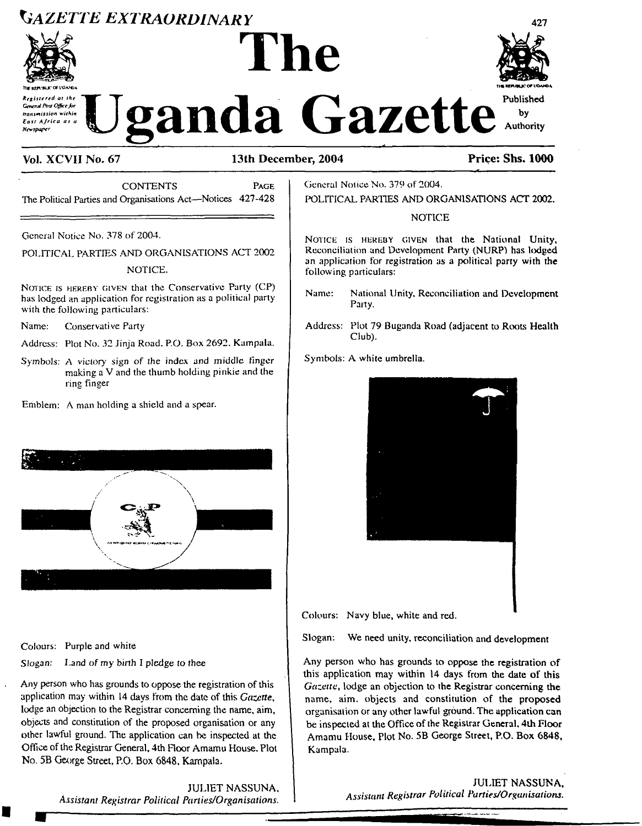# *Gazette extraordinary*



**Tie MfVWJCOF VOA.\*®\*** *Registered at the* \*7 *Gtnend Post Officefor tranimiision within : East Africa as a Newspaper*





# **Vol. XCVII No. 67 13th December, 2004 Price: Shs\* 1000**

CONTENTS Page The Political Parties and Organisations Act—Notices 427-428

General Notice No. 378 of 2004.

POLITICAL PARTIES AND ORGANISATIONS ACT 2002

### NOTICE.

NOTICE IS HEREBY GIVEN that the Conservative Party (CP) has lodged an application for registration as a political party with the following particulars:

Name: Conservative Party

- Address: Plot No. 32 Jinja Road. P.O. Box 2692. Kampala.
- Symbols: A victory sign of the index and middle finger making a V and the thumb holding pinkie and the ring finger
- Emblem: A man holding a shield and a spear.



Colours: Purple and white

*Slogan: Land of my birth <sup>I</sup> pledge* to thee

Any person who has grounds to oppose the registration of this application may within 14 days from the date of this *Gazette,* lodge an objection to the Registrar concerning the name, aim, objects and constitution of the proposed organisation or any other lawful ground. The application can be inspected at the Office of the Registrar General, 4th Floor Amamu House, Plot No. 5B George Street, RO. Box 6848, Kampala.

> JULIET NASSUNA, *Assistant Registrar Political Panies/Organisations.*

General Notice No. 379 of 2004.

POLITICAL PARTIES AND ORGANISATIONS ACT 2002.

### NOTICE

NOTICE IS HEREBY GIVEN that the National Unity, Reconciliation and Development Party (NURP) has lodged an application for registration as a political party with the following particulars:

- Name: National Unity, Reconciliation and Development Party.
- Address: Plot 79 Buganda Road (adjacent to Roots Health Club).
- Symbols: A white umbrella.



Colours: Navy blue, white and red.

Slogan: We need unity, reconciliation and development

Any person who has grounds to oppose the registration of this application may within 14 days from the date of this *Gazette,* lodge an objection to the Registrar concerning the name, aim. objects and constitution of the proposed organisation or any other lawful ground. The application can be inspected at the Office of the Registrar General, 4th Floor Amamu House, Plot No. 5B George Street, P.O, Box 6848, Kampala.

> JULIET NASSUNA, *Assistant Registrar Political Parties/Organisations.*